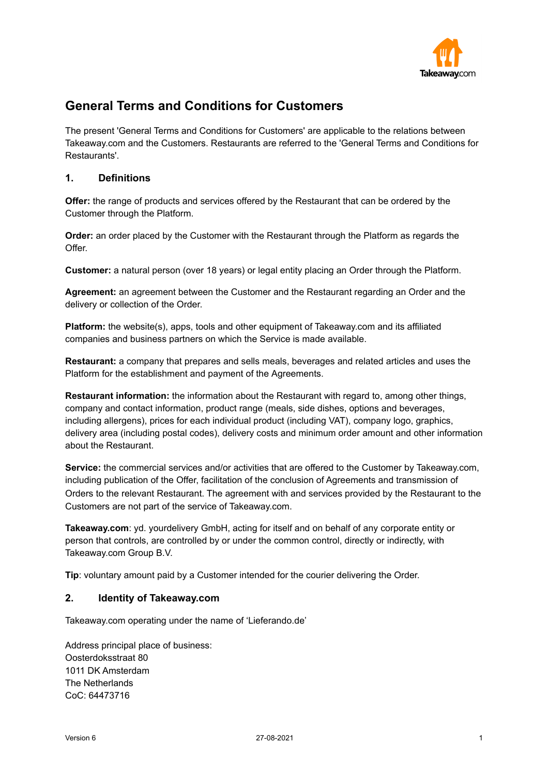

# **General Terms and Conditions for Customers**

The present 'General Terms and Conditions for Customers' are applicable to the relations between Takeaway.com and the Customers. Restaurants are referred to the 'General Terms and Conditions for Restaurants'.

# **1. Definitions**

**Offer:** the range of products and services offered by the Restaurant that can be ordered by the Customer through the Platform.

**Order:** an order placed by the Customer with the Restaurant through the Platform as regards the Offer.

**Customer:** a natural person (over 18 years) or legal entity placing an Order through the Platform.

**Agreement:** an agreement between the Customer and the Restaurant regarding an Order and the delivery or collection of the Order.

**Platform:** the website(s), apps, tools and other equipment of Takeaway.com and its affiliated companies and business partners on which the Service is made available.

**Restaurant:** a company that prepares and sells meals, beverages and related articles and uses the Platform for the establishment and payment of the Agreements.

**Restaurant information:** the information about the Restaurant with regard to, among other things, company and contact information, product range (meals, side dishes, options and beverages, including allergens), prices for each individual product (including VAT), company logo, graphics, delivery area (including postal codes), delivery costs and minimum order amount and other information about the Restaurant.

**Service:** the commercial services and/or activities that are offered to the Customer by Takeaway.com, including publication of the Offer, facilitation of the conclusion of Agreements and transmission of Orders to the relevant Restaurant. The agreement with and services provided by the Restaurant to the Customers are not part of the service of Takeaway.com.

**Takeaway.com**: yd. yourdelivery GmbH, acting for itself and on behalf of any corporate entity or person that controls, are controlled by or under the common control, directly or indirectly, with Takeaway.com Group B.V.

**Tip**: voluntary amount paid by a Customer intended for the courier delivering the Order.

## **2. Identity of Takeaway.com**

Takeaway.com operating under the name of 'Lieferando.de'

Address principal place of business: Oosterdoksstraat 80 1011 DK Amsterdam The Netherlands CoC: 64473716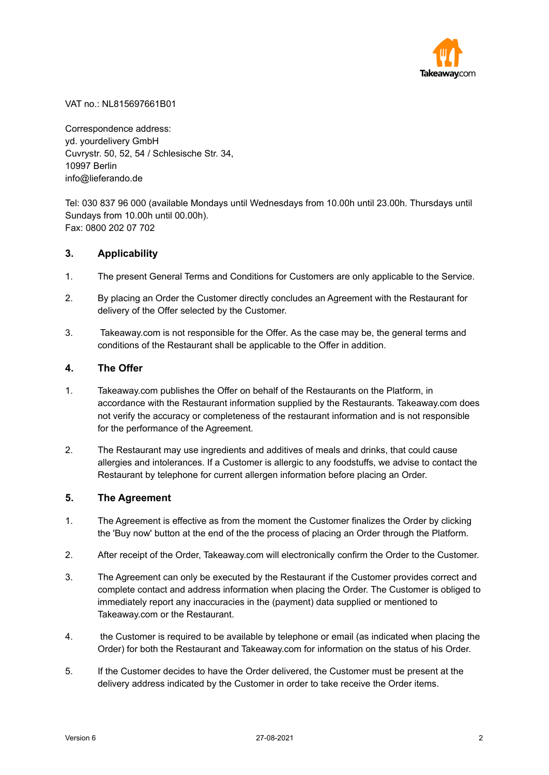

VAT no.: NL815697661B01

Correspondence address: yd. yourdelivery GmbH Cuvrystr. 50, 52, 54 / Schlesische Str. 34, 10997 Berlin info@lieferando.de

Tel: 030 837 96 000 (available Mondays until Wednesdays from 10.00h until 23.00h. Thursdays until Sundays from 10.00h until 00.00h). Fax: 0800 202 07 702

## **3. Applicability**

- 1. The present General Terms and Conditions for Customers are only applicable to the Service.
- 2. By placing an Order the Customer directly concludes an Agreement with the Restaurant for delivery of the Offer selected by the Customer.
- 3. Takeaway.com is not responsible for the Offer. As the case may be, the general terms and conditions of the Restaurant shall be applicable to the Offer in addition.

## **4. The Offer**

- 1. Takeaway.com publishes the Offer on behalf of the Restaurants on the Platform, in accordance with the Restaurant information supplied by the Restaurants. Takeaway.com does not verify the accuracy or completeness of the restaurant information and is not responsible for the performance of the Agreement.
- 2. The Restaurant may use ingredients and additives of meals and drinks, that could cause allergies and intolerances. If a Customer is allergic to any foodstuffs, we advise to contact the Restaurant by telephone for current allergen information before placing an Order.

#### **5. The Agreement**

- 1. The Agreement is effective as from the moment the Customer finalizes the Order by clicking the 'Buy now' button at the end of the the process of placing an Order through the Platform.
- 2. After receipt of the Order, Takeaway.com will electronically confirm the Order to the Customer.
- 3. The Agreement can only be executed by the Restaurant if the Customer provides correct and complete contact and address information when placing the Order. The Customer is obliged to immediately report any inaccuracies in the (payment) data supplied or mentioned to Takeaway.com or the Restaurant.
- 4. the Customer is required to be available by telephone or email (as indicated when placing the Order) for both the Restaurant and Takeaway.com for information on the status of his Order.
- 5. If the Customer decides to have the Order delivered, the Customer must be present at the delivery address indicated by the Customer in order to take receive the Order items.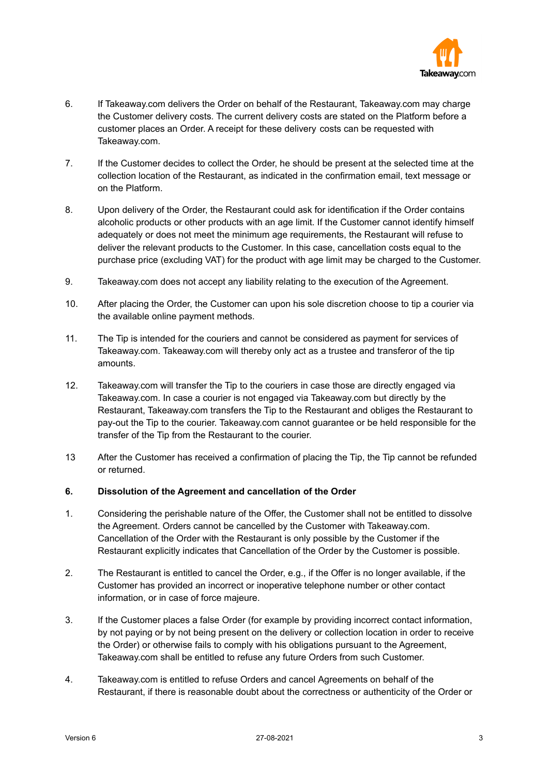

- 6. If Takeaway.com delivers the Order on behalf of the Restaurant, Takeaway.com may charge the Customer delivery costs. The current delivery costs are stated on the Platform before a customer places an Order. A receipt for these delivery costs can be requested with Takeaway.com.
- 7. If the Customer decides to collect the Order, he should be present at the selected time at the collection location of the Restaurant, as indicated in the confirmation email, text message or on the Platform.
- 8. Upon delivery of the Order, the Restaurant could ask for identification if the Order contains alcoholic products or other products with an age limit. If the Customer cannot identify himself adequately or does not meet the minimum age requirements, the Restaurant will refuse to deliver the relevant products to the Customer. In this case, cancellation costs equal to the purchase price (excluding VAT) for the product with age limit may be charged to the Customer.
- 9. Takeaway.com does not accept any liability relating to the execution of the Agreement.
- 10. After placing the Order, the Customer can upon his sole discretion choose to tip a courier via the available online payment methods.
- 11. The Tip is intended for the couriers and cannot be considered as payment for services of Takeaway.com. Takeaway.com will thereby only act as a trustee and transferor of the tip amounts.
- 12. Takeaway.com will transfer the Tip to the couriers in case those are directly engaged via Takeaway.com. In case a courier is not engaged via Takeaway.com but directly by the Restaurant, Takeaway.com transfers the Tip to the Restaurant and obliges the Restaurant to pay-out the Tip to the courier. Takeaway.com cannot guarantee or be held responsible for the transfer of the Tip from the Restaurant to the courier.
- 13 After the Customer has received a confirmation of placing the Tip, the Tip cannot be refunded or returned.

## **6. Dissolution of the Agreement and cancellation of the Order**

- 1. Considering the perishable nature of the Offer, the Customer shall not be entitled to dissolve the Agreement. Orders cannot be cancelled by the Customer with Takeaway.com. Cancellation of the Order with the Restaurant is only possible by the Customer if the Restaurant explicitly indicates that Cancellation of the Order by the Customer is possible.
- 2. The Restaurant is entitled to cancel the Order, e.g., if the Offer is no longer available, if the Customer has provided an incorrect or inoperative telephone number or other contact information, or in case of force majeure.
- 3. If the Customer places a false Order (for example by providing incorrect contact information, by not paying or by not being present on the delivery or collection location in order to receive the Order) or otherwise fails to comply with his obligations pursuant to the Agreement, Takeaway.com shall be entitled to refuse any future Orders from such Customer.
- 4. Takeaway.com is entitled to refuse Orders and cancel Agreements on behalf of the Restaurant, if there is reasonable doubt about the correctness or authenticity of the Order or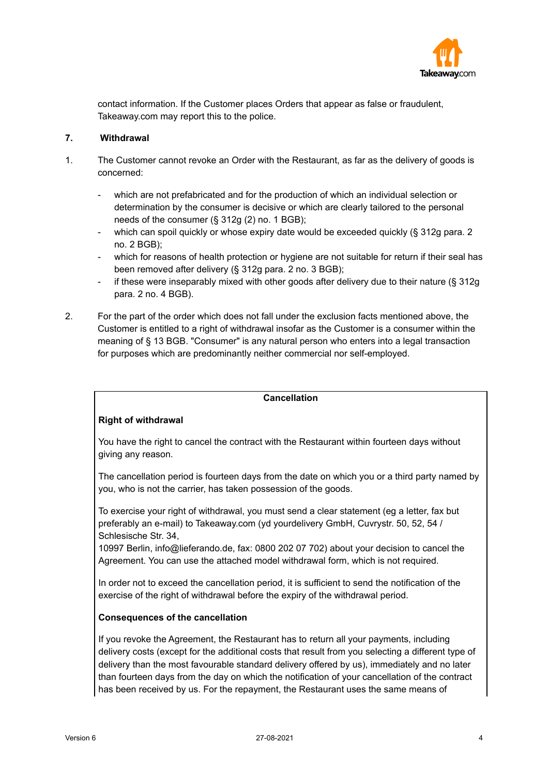

contact information. If the Customer places Orders that appear as false or fraudulent, Takeaway.com may report this to the police.

## **7. Withdrawal**

- 1. The Customer cannot revoke an Order with the Restaurant, as far as the delivery of goods is concerned:
	- which are not prefabricated and for the production of which an individual selection or determination by the consumer is decisive or which are clearly tailored to the personal needs of the consumer (§ 312g (2) no. 1 BGB);
	- which can spoil quickly or whose expiry date would be exceeded quickly (§ 312g para. 2 no. 2 BGB);
	- which for reasons of health protection or hygiene are not suitable for return if their seal has been removed after delivery (§ 312g para. 2 no. 3 BGB);
	- if these were inseparably mixed with other goods after delivery due to their nature  $(8, 312q)$ para. 2 no. 4 BGB).
- 2. For the part of the order which does not fall under the exclusion facts mentioned above, the Customer is entitled to a right of withdrawal insofar as the Customer is a consumer within the meaning of § 13 BGB. "Consumer" is any natural person who enters into a legal transaction for purposes which are predominantly neither commercial nor self-employed.

## **Cancellation**

# **Right of withdrawal**

You have the right to cancel the contract with the Restaurant within fourteen days without giving any reason.

The cancellation period is fourteen days from the date on which you or a third party named by you, who is not the carrier, has taken possession of the goods.

To exercise your right of withdrawal, you must send a clear statement (eg a letter, fax but preferably an e-mail) to Takeaway.com (yd yourdelivery GmbH, Cuvrystr. 50, 52, 54 / Schlesische Str. 34,

10997 Berlin, info@lieferando.de, fax: 0800 202 07 702) about your decision to cancel the Agreement. You can use the attached model withdrawal form, which is not required.

In order not to exceed the cancellation period, it is sufficient to send the notification of the exercise of the right of withdrawal before the expiry of the withdrawal period.

#### **Consequences of the cancellation**

If you revoke the Agreement, the Restaurant has to return all your payments, including delivery costs (except for the additional costs that result from you selecting a different type of delivery than the most favourable standard delivery offered by us), immediately and no later than fourteen days from the day on which the notification of your cancellation of the contract has been received by us. For the repayment, the Restaurant uses the same means of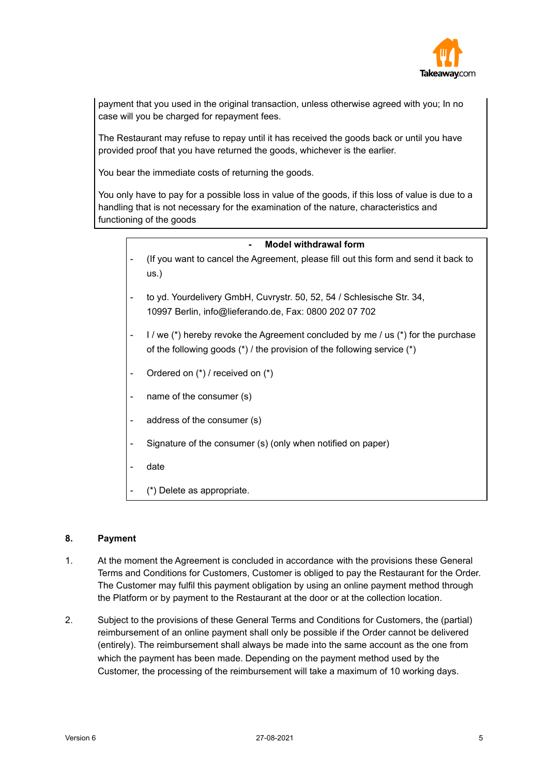

payment that you used in the original transaction, unless otherwise agreed with you; In no case will you be charged for repayment fees.

The Restaurant may refuse to repay until it has received the goods back or until you have provided proof that you have returned the goods, whichever is the earlier.

You bear the immediate costs of returning the goods.

You only have to pay for a possible loss in value of the goods, if this loss of value is due to a handling that is not necessary for the examination of the nature, characteristics and functioning of the goods

| <b>Model withdrawal form</b>                                                                                                                                    |
|-----------------------------------------------------------------------------------------------------------------------------------------------------------------|
| (If you want to cancel the Agreement, please fill out this form and send it back to<br>$US.$ )                                                                  |
| to yd. Yourdelivery GmbH, Cuvrystr. 50, 52, 54 / Schlesische Str. 34,<br>10997 Berlin, info@lieferando.de, Fax: 0800 202 07 702                                 |
| I / we (*) hereby revoke the Agreement concluded by me / us (*) for the purchase<br>of the following goods $(*)$ / the provision of the following service $(*)$ |
| Ordered on (*) / received on (*)                                                                                                                                |
| name of the consumer (s)                                                                                                                                        |
| address of the consumer (s)                                                                                                                                     |
| Signature of the consumer (s) (only when notified on paper)                                                                                                     |
| date                                                                                                                                                            |
| (*) Delete as appropriate.                                                                                                                                      |

## **8. Payment**

- 1. At the moment the Agreement is concluded in accordance with the provisions these General Terms and Conditions for Customers, Customer is obliged to pay the Restaurant for the Order. The Customer may fulfil this payment obligation by using an online payment method through the Platform or by payment to the Restaurant at the door or at the collection location.
- 2. Subject to the provisions of these General Terms and Conditions for Customers, the (partial) reimbursement of an online payment shall only be possible if the Order cannot be delivered (entirely). The reimbursement shall always be made into the same account as the one from which the payment has been made. Depending on the payment method used by the Customer, the processing of the reimbursement will take a maximum of 10 working days.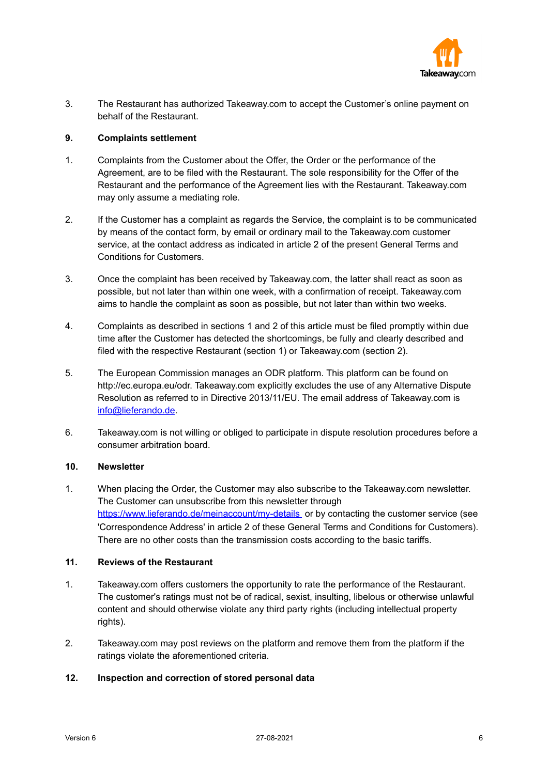

3. The Restaurant has authorized Takeaway.com to accept the Customer's online payment on behalf of the Restaurant.

## **9. Complaints settlement**

- 1. Complaints from the Customer about the Offer, the Order or the performance of the Agreement, are to be filed with the Restaurant. The sole responsibility for the Offer of the Restaurant and the performance of the Agreement lies with the Restaurant. Takeaway.com may only assume a mediating role.
- 2. If the Customer has a complaint as regards the Service, the complaint is to be communicated by means of the contact form, by email or ordinary mail to the Takeaway.com customer service, at the contact address as indicated in article 2 of the present General Terms and Conditions for Customers.
- 3. Once the complaint has been received by Takeaway.com, the latter shall react as soon as possible, but not later than within one week, with a confirmation of receipt. Takeaway.com aims to handle the complaint as soon as possible, but not later than within two weeks.
- 4. Complaints as described in sections 1 and 2 of this article must be filed promptly within due time after the Customer has detected the shortcomings, be fully and clearly described and filed with the respective Restaurant (section 1) or Takeaway.com (section 2).
- 5. The European Commission manages an ODR platform. This platform can be found on http://ec.europa.eu/odr. Takeaway.com explicitly excludes the use of any Alternative Dispute Resolution as referred to in Directive 2013/11/EU. The email address of Takeaway.com is [info@lieferando.de](mailto:info@lieferando.de).
- 6. Takeaway.com is not willing or obliged to participate in dispute resolution procedures before a consumer arbitration board.

# **10. Newsletter**

1. When placing the Order, the Customer may also subscribe to the Takeaway.com newsletter. The Customer can unsubscribe from this newsletter through <https://www.lieferando.de/meinaccount/my-details></u> or by contacting the customer service (see 'Correspondence Address' in article 2 of these General Terms and Conditions for Customers). There are no other costs than the transmission costs according to the basic tariffs.

## **11. Reviews of the Restaurant**

- 1. Takeaway.com offers customers the opportunity to rate the performance of the Restaurant. The customer's ratings must not be of radical, sexist, insulting, libelous or otherwise unlawful content and should otherwise violate any third party rights (including intellectual property rights).
- 2. Takeaway.com may post reviews on the platform and remove them from the platform if the ratings violate the aforementioned criteria.

#### **12. Inspection and correction of stored personal data**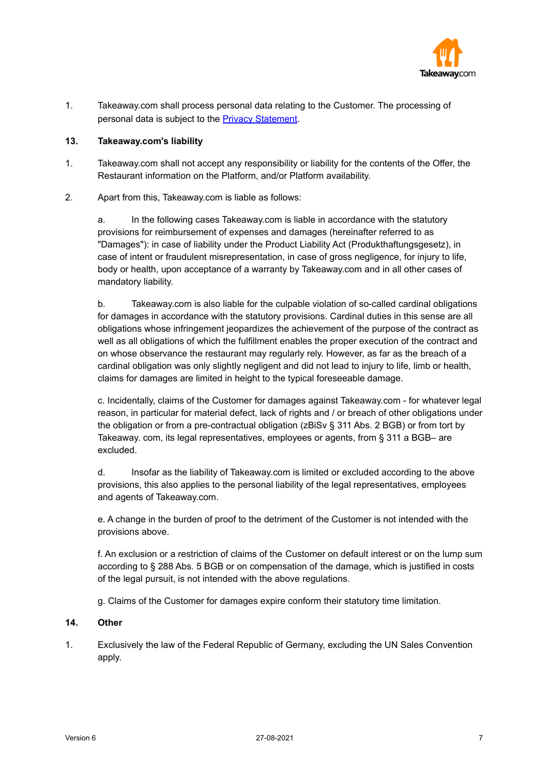

1. Takeaway.com shall process personal data relating to the Customer. The processing of personal data is subject to the Privacy [Statement.](http://www.takeaway.com/switzerland/privacy-statement)

## **13. Takeaway.com's liability**

- 1. Takeaway.com shall not accept any responsibility or liability for the contents of the Offer, the Restaurant information on the Platform, and/or Platform availability.
- 2. Apart from this, Takeaway.com is liable as follows:

a. In the following cases Takeaway.com is liable in accordance with the statutory provisions for reimbursement of expenses and damages (hereinafter referred to as "Damages"): in case of liability under the Product Liability Act (Produkthaftungsgesetz), in case of intent or fraudulent misrepresentation, in case of gross negligence, for injury to life, body or health, upon acceptance of a warranty by Takeaway.com and in all other cases of mandatory liability.

b. Takeaway.com is also liable for the culpable violation of so-called cardinal obligations for damages in accordance with the statutory provisions. Cardinal duties in this sense are all obligations whose infringement jeopardizes the achievement of the purpose of the contract as well as all obligations of which the fulfillment enables the proper execution of the contract and on whose observance the restaurant may regularly rely. However, as far as the breach of a cardinal obligation was only slightly negligent and did not lead to injury to life, limb or health, claims for damages are limited in height to the typical foreseeable damage.

c. Incidentally, claims of the Customer for damages against Takeaway.com - for whatever legal reason, in particular for material defect, lack of rights and / or breach of other obligations under the obligation or from a pre-contractual obligation (zBiSv § 311 Abs. 2 BGB) or from tort by Takeaway. com, its legal representatives, employees or agents, from § 311 a BGB– are excluded.

d. Insofar as the liability of Takeaway.com is limited or excluded according to the above provisions, this also applies to the personal liability of the legal representatives, employees and agents of Takeaway.com.

e. A change in the burden of proof to the detriment of the Customer is not intended with the provisions above.

f. An exclusion or a restriction of claims of the Customer on default interest or on the lump sum according to § 288 Abs. 5 BGB or on compensation of the damage, which is justified in costs of the legal pursuit, is not intended with the above regulations.

g. Claims of the Customer for damages expire conform their statutory time limitation.

#### **14. Other**

1. Exclusively the law of the Federal Republic of Germany, excluding the UN Sales Convention apply.